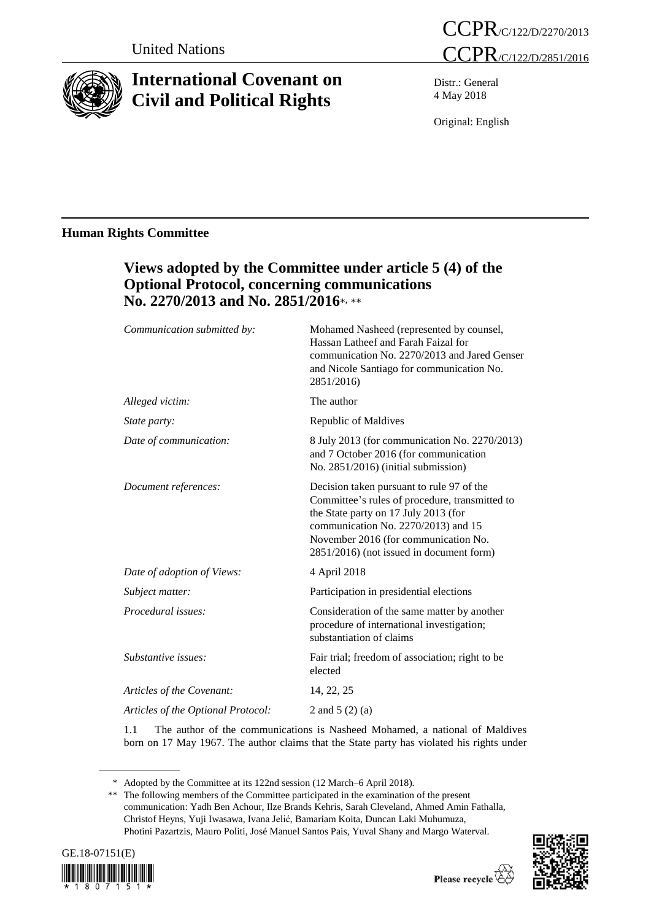

# **International Covenant on Civil and Political Rights**



Distr.: General 4 May 2018

Original: English

# **Human Rights Committee**

| Views adopted by the Committee under article 5 (4) of the<br><b>Optional Protocol, concerning communications</b><br>No. 2270/2013 and No. 2851/2016*, **                                                                                                       |
|----------------------------------------------------------------------------------------------------------------------------------------------------------------------------------------------------------------------------------------------------------------|
| Mohamed Nasheed (represented by counsel,<br>Hassan Latheef and Farah Faizal for<br>communication No. 2270/2013 and Jared Genser<br>and Nicole Santiago for communication No.<br>2851/2016)                                                                     |
| The author                                                                                                                                                                                                                                                     |
| Republic of Maldives                                                                                                                                                                                                                                           |
| 8 July 2013 (for communication No. 2270/2013)<br>and 7 October 2016 (for communication<br>No. 2851/2016) (initial submission)                                                                                                                                  |
| Decision taken pursuant to rule 97 of the<br>Committee's rules of procedure, transmitted to<br>the State party on 17 July 2013 (for<br>communication No. 2270/2013) and 15<br>November 2016 (for communication No.<br>2851/2016) (not issued in document form) |
| 4 April 2018                                                                                                                                                                                                                                                   |
| Participation in presidential elections                                                                                                                                                                                                                        |
| Consideration of the same matter by another<br>procedure of international investigation;<br>substantiation of claims                                                                                                                                           |
| Fair trial; freedom of association; right to be<br>elected                                                                                                                                                                                                     |
| 14, 22, 25                                                                                                                                                                                                                                                     |
| 2 and $5(2)(a)$                                                                                                                                                                                                                                                |
|                                                                                                                                                                                                                                                                |

1.1 The author of the communications is Nasheed Mohamed, a national of Maldives born on 17 May 1967. The author claims that the State party has violated his rights under

<sup>\*\*</sup> The following members of the Committee participated in the examination of the present communication: Yadh Ben Achour, Ilze Brands Kehris, Sarah Cleveland, Ahmed Amin Fathalla, Christof Heyns, Yuji Iwasawa, Ivana Jelić, Bamariam Koita, Duncan Laki Muhumuza, Photini Pazartzis, Mauro Politi, José Manuel Santos Pais, Yuval Shany and Margo Waterval.





<sup>\*</sup> Adopted by the Committee at its 122nd session (12 March–6 April 2018).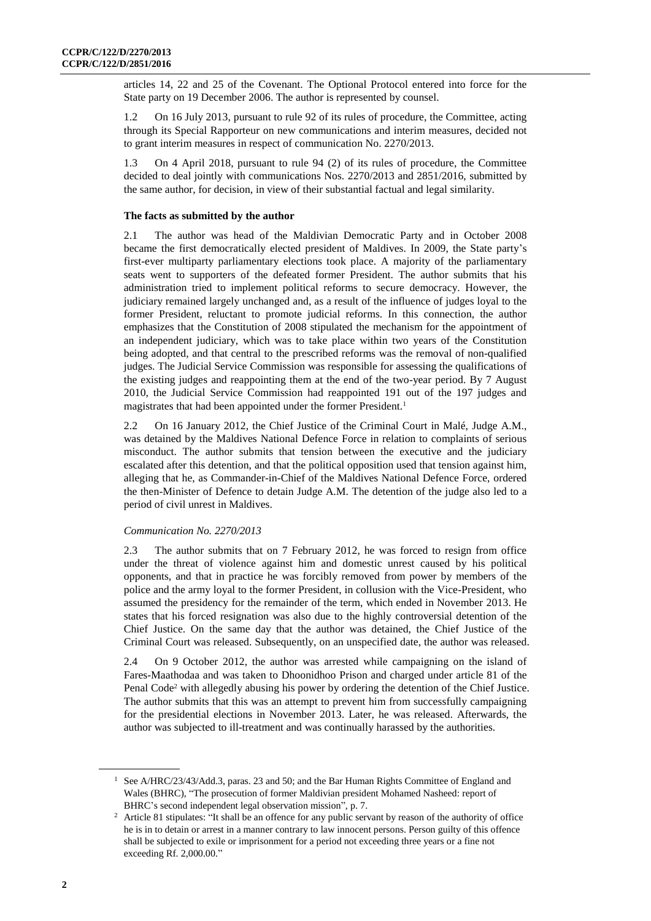articles 14, 22 and 25 of the Covenant. The Optional Protocol entered into force for the State party on 19 December 2006. The author is represented by counsel.

1.2 On 16 July 2013, pursuant to rule 92 of its rules of procedure, the Committee, acting through its Special Rapporteur on new communications and interim measures, decided not to grant interim measures in respect of communication No. 2270/2013.

1.3 On 4 April 2018, pursuant to rule 94 (2) of its rules of procedure, the Committee decided to deal jointly with communications Nos. 2270/2013 and 2851/2016, submitted by the same author, for decision, in view of their substantial factual and legal similarity.

# **The facts as submitted by the author**

2.1 The author was head of the Maldivian Democratic Party and in October 2008 became the first democratically elected president of Maldives. In 2009, the State party's first-ever multiparty parliamentary elections took place. A majority of the parliamentary seats went to supporters of the defeated former President. The author submits that his administration tried to implement political reforms to secure democracy. However, the judiciary remained largely unchanged and, as a result of the influence of judges loyal to the former President, reluctant to promote judicial reforms. In this connection, the author emphasizes that the Constitution of 2008 stipulated the mechanism for the appointment of an independent judiciary, which was to take place within two years of the Constitution being adopted, and that central to the prescribed reforms was the removal of non-qualified judges. The Judicial Service Commission was responsible for assessing the qualifications of the existing judges and reappointing them at the end of the two-year period. By 7 August 2010, the Judicial Service Commission had reappointed 191 out of the 197 judges and magistrates that had been appointed under the former President.<sup>1</sup>

2.2 On 16 January 2012, the Chief Justice of the Criminal Court in Malé, Judge A.M., was detained by the Maldives National Defence Force in relation to complaints of serious misconduct. The author submits that tension between the executive and the judiciary escalated after this detention, and that the political opposition used that tension against him, alleging that he, as Commander-in-Chief of the Maldives National Defence Force, ordered the then-Minister of Defence to detain Judge A.M. The detention of the judge also led to a period of civil unrest in Maldives.

# *Communication No. 2270/2013*

2.3 The author submits that on 7 February 2012, he was forced to resign from office under the threat of violence against him and domestic unrest caused by his political opponents, and that in practice he was forcibly removed from power by members of the police and the army loyal to the former President, in collusion with the Vice-President, who assumed the presidency for the remainder of the term, which ended in November 2013. He states that his forced resignation was also due to the highly controversial detention of the Chief Justice. On the same day that the author was detained, the Chief Justice of the Criminal Court was released. Subsequently, on an unspecified date, the author was released.

2.4 On 9 October 2012, the author was arrested while campaigning on the island of Fares-Maathodaa and was taken to Dhoonidhoo Prison and charged under article 81 of the Penal Code<sup>2</sup> with allegedly abusing his power by ordering the detention of the Chief Justice. The author submits that this was an attempt to prevent him from successfully campaigning for the presidential elections in November 2013. Later, he was released. Afterwards, the author was subjected to ill-treatment and was continually harassed by the authorities.

<sup>&</sup>lt;sup>1</sup> See A/HRC/23/43/Add.3, paras. 23 and 50; and the Bar Human Rights Committee of England and Wales (BHRC), "The prosecution of former Maldivian president Mohamed Nasheed: report of BHRC's second independent legal observation mission", p. 7.

<sup>&</sup>lt;sup>2</sup> Article 81 stipulates: "It shall be an offence for any public servant by reason of the authority of office he is in to detain or arrest in a manner contrary to law innocent persons. Person guilty of this offence shall be subjected to exile or imprisonment for a period not exceeding three years or a fine not exceeding Rf. 2,000.00."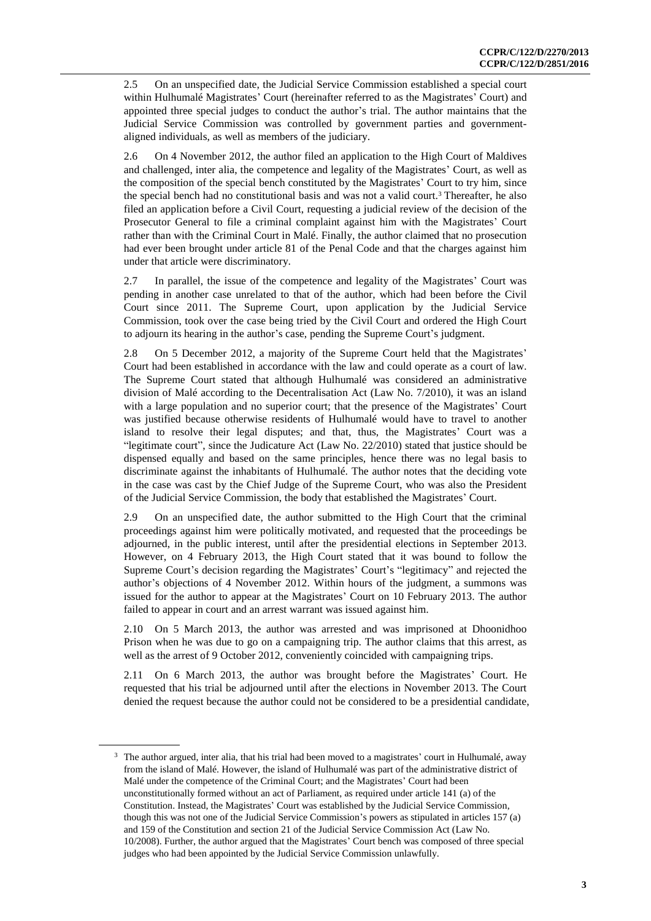2.5 On an unspecified date, the Judicial Service Commission established a special court within Hulhumalé Magistrates' Court (hereinafter referred to as the Magistrates' Court) and appointed three special judges to conduct the author's trial. The author maintains that the Judicial Service Commission was controlled by government parties and governmentaligned individuals, as well as members of the judiciary.

2.6 On 4 November 2012, the author filed an application to the High Court of Maldives and challenged, inter alia, the competence and legality of the Magistrates' Court, as well as the composition of the special bench constituted by the Magistrates' Court to try him, since the special bench had no constitutional basis and was not a valid court.<sup>3</sup> Thereafter, he also filed an application before a Civil Court, requesting a judicial review of the decision of the Prosecutor General to file a criminal complaint against him with the Magistrates' Court rather than with the Criminal Court in Malé. Finally, the author claimed that no prosecution had ever been brought under article 81 of the Penal Code and that the charges against him under that article were discriminatory.

2.7 In parallel, the issue of the competence and legality of the Magistrates' Court was pending in another case unrelated to that of the author, which had been before the Civil Court since 2011. The Supreme Court, upon application by the Judicial Service Commission, took over the case being tried by the Civil Court and ordered the High Court to adjourn its hearing in the author's case, pending the Supreme Court's judgment.

2.8 On 5 December 2012, a majority of the Supreme Court held that the Magistrates' Court had been established in accordance with the law and could operate as a court of law. The Supreme Court stated that although Hulhumalé was considered an administrative division of Malé according to the Decentralisation Act (Law No. 7/2010), it was an island with a large population and no superior court; that the presence of the Magistrates' Court was justified because otherwise residents of Hulhumalé would have to travel to another island to resolve their legal disputes; and that, thus, the Magistrates' Court was a "legitimate court", since the Judicature Act (Law No. 22/2010) stated that justice should be dispensed equally and based on the same principles, hence there was no legal basis to discriminate against the inhabitants of Hulhumalé. The author notes that the deciding vote in the case was cast by the Chief Judge of the Supreme Court, who was also the President of the Judicial Service Commission, the body that established the Magistrates' Court.

2.9 On an unspecified date, the author submitted to the High Court that the criminal proceedings against him were politically motivated, and requested that the proceedings be adjourned, in the public interest, until after the presidential elections in September 2013. However, on 4 February 2013, the High Court stated that it was bound to follow the Supreme Court's decision regarding the Magistrates' Court's "legitimacy" and rejected the author's objections of 4 November 2012. Within hours of the judgment, a summons was issued for the author to appear at the Magistrates' Court on 10 February 2013. The author failed to appear in court and an arrest warrant was issued against him.

2.10 On 5 March 2013, the author was arrested and was imprisoned at Dhoonidhoo Prison when he was due to go on a campaigning trip. The author claims that this arrest, as well as the arrest of 9 October 2012, conveniently coincided with campaigning trips.

2.11 On 6 March 2013, the author was brought before the Magistrates' Court. He requested that his trial be adjourned until after the elections in November 2013. The Court denied the request because the author could not be considered to be a presidential candidate,

<sup>&</sup>lt;sup>3</sup> The author argued, inter alia, that his trial had been moved to a magistrates' court in Hulhumalé, away from the island of Malé. However, the island of Hulhumalé was part of the administrative district of Malé under the competence of the Criminal Court; and the Magistrates' Court had been unconstitutionally formed without an act of Parliament, as required under article 141 (a) of the Constitution. Instead, the Magistrates' Court was established by the Judicial Service Commission, though this was not one of the Judicial Service Commission's powers as stipulated in articles 157 (a) and 159 of the Constitution and section 21 of the Judicial Service Commission Act (Law No. 10/2008). Further, the author argued that the Magistrates' Court bench was composed of three special judges who had been appointed by the Judicial Service Commission unlawfully.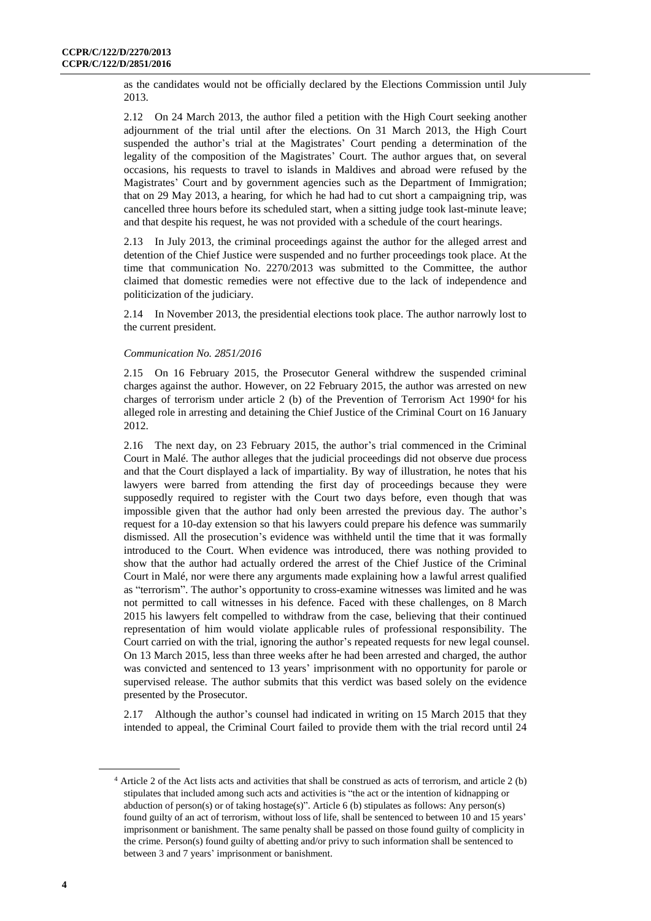as the candidates would not be officially declared by the Elections Commission until July 2013.

2.12 On 24 March 2013, the author filed a petition with the High Court seeking another adjournment of the trial until after the elections. On 31 March 2013, the High Court suspended the author's trial at the Magistrates' Court pending a determination of the legality of the composition of the Magistrates' Court. The author argues that, on several occasions, his requests to travel to islands in Maldives and abroad were refused by the Magistrates' Court and by government agencies such as the Department of Immigration; that on 29 May 2013, a hearing, for which he had had to cut short a campaigning trip, was cancelled three hours before its scheduled start, when a sitting judge took last-minute leave; and that despite his request, he was not provided with a schedule of the court hearings.

2.13 In July 2013, the criminal proceedings against the author for the alleged arrest and detention of the Chief Justice were suspended and no further proceedings took place. At the time that communication No. 2270/2013 was submitted to the Committee, the author claimed that domestic remedies were not effective due to the lack of independence and politicization of the judiciary.

2.14 In November 2013, the presidential elections took place. The author narrowly lost to the current president.

### *Communication No. 2851/2016*

2.15 On 16 February 2015, the Prosecutor General withdrew the suspended criminal charges against the author. However, on 22 February 2015, the author was arrested on new charges of terrorism under article 2 (b) of the Prevention of Terrorism Act 1990<sup>4</sup> for his alleged role in arresting and detaining the Chief Justice of the Criminal Court on 16 January 2012.

2.16 The next day, on 23 February 2015, the author's trial commenced in the Criminal Court in Malé. The author alleges that the judicial proceedings did not observe due process and that the Court displayed a lack of impartiality. By way of illustration, he notes that his lawyers were barred from attending the first day of proceedings because they were supposedly required to register with the Court two days before, even though that was impossible given that the author had only been arrested the previous day. The author's request for a 10-day extension so that his lawyers could prepare his defence was summarily dismissed. All the prosecution's evidence was withheld until the time that it was formally introduced to the Court. When evidence was introduced, there was nothing provided to show that the author had actually ordered the arrest of the Chief Justice of the Criminal Court in Malé, nor were there any arguments made explaining how a lawful arrest qualified as "terrorism". The author's opportunity to cross-examine witnesses was limited and he was not permitted to call witnesses in his defence. Faced with these challenges, on 8 March 2015 his lawyers felt compelled to withdraw from the case, believing that their continued representation of him would violate applicable rules of professional responsibility. The Court carried on with the trial, ignoring the author's repeated requests for new legal counsel. On 13 March 2015, less than three weeks after he had been arrested and charged, the author was convicted and sentenced to 13 years' imprisonment with no opportunity for parole or supervised release. The author submits that this verdict was based solely on the evidence presented by the Prosecutor.

2.17 Although the author's counsel had indicated in writing on 15 March 2015 that they intended to appeal, the Criminal Court failed to provide them with the trial record until 24

<sup>4</sup> Article 2 of the Act lists acts and activities that shall be construed as acts of terrorism, and article 2 (b) stipulates that included among such acts and activities is "the act or the intention of kidnapping or abduction of person(s) or of taking hostage(s)". Article 6 (b) stipulates as follows: Any person(s) found guilty of an act of terrorism, without loss of life, shall be sentenced to between 10 and 15 years' imprisonment or banishment. The same penalty shall be passed on those found guilty of complicity in the crime. Person(s) found guilty of abetting and/or privy to such information shall be sentenced to between 3 and 7 years' imprisonment or banishment.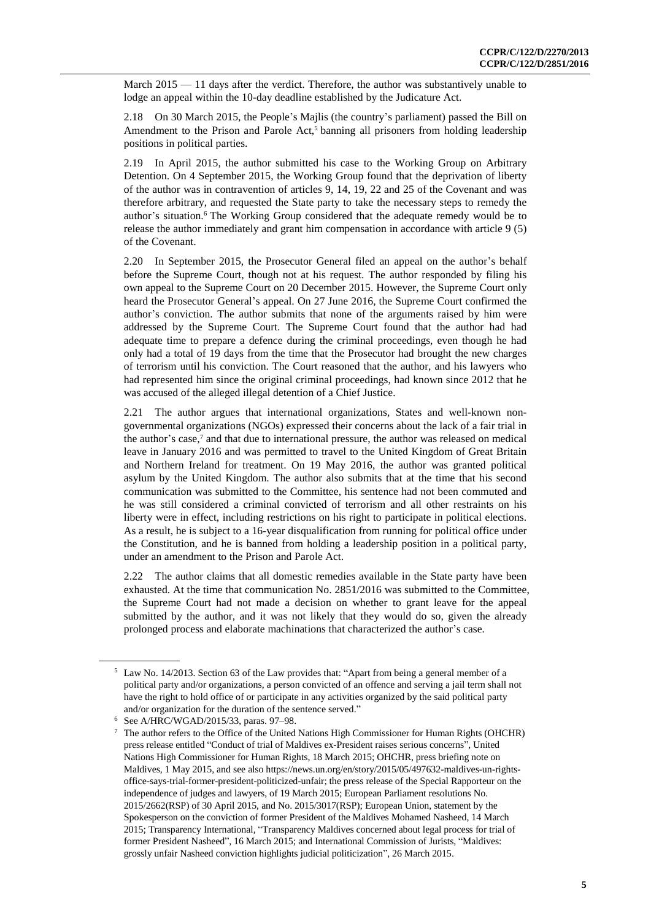March  $2015 - 11$  days after the verdict. Therefore, the author was substantively unable to lodge an appeal within the 10-day deadline established by the Judicature Act.

2.18 On 30 March 2015, the People's Majlis (the country's parliament) passed the Bill on Amendment to the Prison and Parole Act,<sup>5</sup> banning all prisoners from holding leadership positions in political parties.

2.19 In April 2015, the author submitted his case to the Working Group on Arbitrary Detention. On 4 September 2015, the Working Group found that the deprivation of liberty of the author was in contravention of articles 9, 14, 19, 22 and 25 of the Covenant and was therefore arbitrary, and requested the State party to take the necessary steps to remedy the author's situation.<sup>6</sup> The Working Group considered that the adequate remedy would be to release the author immediately and grant him compensation in accordance with article 9 (5) of the Covenant.

2.20 In September 2015, the Prosecutor General filed an appeal on the author's behalf before the Supreme Court, though not at his request. The author responded by filing his own appeal to the Supreme Court on 20 December 2015. However, the Supreme Court only heard the Prosecutor General's appeal. On 27 June 2016, the Supreme Court confirmed the author's conviction. The author submits that none of the arguments raised by him were addressed by the Supreme Court. The Supreme Court found that the author had had adequate time to prepare a defence during the criminal proceedings, even though he had only had a total of 19 days from the time that the Prosecutor had brought the new charges of terrorism until his conviction. The Court reasoned that the author, and his lawyers who had represented him since the original criminal proceedings, had known since 2012 that he was accused of the alleged illegal detention of a Chief Justice.

2.21 The author argues that international organizations, States and well-known nongovernmental organizations (NGOs) expressed their concerns about the lack of a fair trial in the author's case,<sup>7</sup> and that due to international pressure, the author was released on medical leave in January 2016 and was permitted to travel to the United Kingdom of Great Britain and Northern Ireland for treatment. On 19 May 2016, the author was granted political asylum by the United Kingdom. The author also submits that at the time that his second communication was submitted to the Committee, his sentence had not been commuted and he was still considered a criminal convicted of terrorism and all other restraints on his liberty were in effect, including restrictions on his right to participate in political elections. As a result, he is subject to a 16-year disqualification from running for political office under the Constitution, and he is banned from holding a leadership position in a political party, under an amendment to the Prison and Parole Act.

2.22 The author claims that all domestic remedies available in the State party have been exhausted. At the time that communication No. 2851/2016 was submitted to the Committee, the Supreme Court had not made a decision on whether to grant leave for the appeal submitted by the author, and it was not likely that they would do so, given the already prolonged process and elaborate machinations that characterized the author's case.

<sup>5</sup> Law No. 14/2013. Section 63 of the Law provides that: "Apart from being a general member of a political party and/or organizations, a person convicted of an offence and serving a jail term shall not have the right to hold office of or participate in any activities organized by the said political party and/or organization for the duration of the sentence served."

<sup>6</sup> See A/HRC/WGAD/2015/33, paras. 97–98.

<sup>7</sup> The author refers to the Office of the United Nations High Commissioner for Human Rights (OHCHR) press release entitled "Conduct of trial of Maldives ex-President raises serious concerns", United Nations High Commissioner for Human Rights, 18 March 2015; OHCHR, press briefing note on Maldives, 1 May 2015, and see also https://news.un.org/en/story/2015/05/497632-maldives-un-rightsoffice-says-trial-former-president-politicized-unfair; the press release of the Special Rapporteur on the independence of judges and lawyers, of 19 March 2015; European Parliament resolutions No. 2015/2662(RSP) of 30 April 2015, and No. 2015/3017(RSP); European Union, statement by the Spokesperson on the conviction of former President of the Maldives Mohamed Nasheed, 14 March 2015; Transparency International, "Transparency Maldives concerned about legal process for trial of former President Nasheed", 16 March 2015; and International Commission of Jurists, "Maldives: grossly unfair Nasheed conviction highlights judicial politicization", 26 March 2015.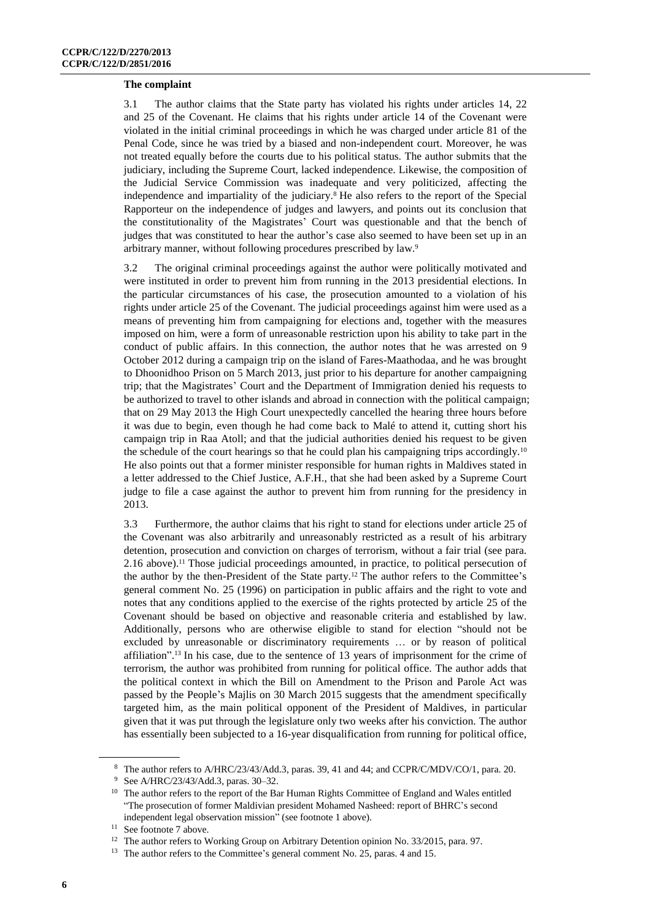#### **The complaint**

3.1 The author claims that the State party has violated his rights under articles 14, 22 and 25 of the Covenant. He claims that his rights under article 14 of the Covenant were violated in the initial criminal proceedings in which he was charged under article 81 of the Penal Code, since he was tried by a biased and non-independent court. Moreover, he was not treated equally before the courts due to his political status. The author submits that the judiciary, including the Supreme Court, lacked independence. Likewise, the composition of the Judicial Service Commission was inadequate and very politicized, affecting the independence and impartiality of the judiciary.<sup>8</sup> He also refers to the report of the Special Rapporteur on the independence of judges and lawyers, and points out its conclusion that the constitutionality of the Magistrates' Court was questionable and that the bench of judges that was constituted to hear the author's case also seemed to have been set up in an arbitrary manner, without following procedures prescribed by law.<sup>9</sup>

3.2 The original criminal proceedings against the author were politically motivated and were instituted in order to prevent him from running in the 2013 presidential elections. In the particular circumstances of his case, the prosecution amounted to a violation of his rights under article 25 of the Covenant. The judicial proceedings against him were used as a means of preventing him from campaigning for elections and, together with the measures imposed on him, were a form of unreasonable restriction upon his ability to take part in the conduct of public affairs. In this connection, the author notes that he was arrested on 9 October 2012 during a campaign trip on the island of Fares-Maathodaa, and he was brought to Dhoonidhoo Prison on 5 March 2013, just prior to his departure for another campaigning trip; that the Magistrates' Court and the Department of Immigration denied his requests to be authorized to travel to other islands and abroad in connection with the political campaign; that on 29 May 2013 the High Court unexpectedly cancelled the hearing three hours before it was due to begin, even though he had come back to Malé to attend it, cutting short his campaign trip in Raa Atoll; and that the judicial authorities denied his request to be given the schedule of the court hearings so that he could plan his campaigning trips accordingly.<sup>10</sup> He also points out that a former minister responsible for human rights in Maldives stated in a letter addressed to the Chief Justice, A.F.H., that she had been asked by a Supreme Court judge to file a case against the author to prevent him from running for the presidency in 2013.

3.3 Furthermore, the author claims that his right to stand for elections under article 25 of the Covenant was also arbitrarily and unreasonably restricted as a result of his arbitrary detention, prosecution and conviction on charges of terrorism, without a fair trial (see para. 2.16 above).<sup>11</sup> Those judicial proceedings amounted, in practice, to political persecution of the author by the then-President of the State party.<sup>12</sup> The author refers to the Committee's general comment No. 25 (1996) on participation in public affairs and the right to vote and notes that any conditions applied to the exercise of the rights protected by article 25 of the Covenant should be based on objective and reasonable criteria and established by law. Additionally, persons who are otherwise eligible to stand for election "should not be excluded by unreasonable or discriminatory requirements … or by reason of political affiliation".<sup>13</sup> In his case, due to the sentence of 13 years of imprisonment for the crime of terrorism, the author was prohibited from running for political office. The author adds that the political context in which the Bill on Amendment to the Prison and Parole Act was passed by the People's Majlis on 30 March 2015 suggests that the amendment specifically targeted him, as the main political opponent of the President of Maldives, in particular given that it was put through the legislature only two weeks after his conviction. The author has essentially been subjected to a 16-year disqualification from running for political office,

<sup>8</sup> The author refers to A/HRC/23/43/Add.3, paras. 39, 41 and 44; and CCPR/C/MDV/CO/1, para. 20.

<sup>9</sup> See A/HRC/23/43/Add.3, paras. 30–32.

<sup>&</sup>lt;sup>10</sup> The author refers to the report of the Bar Human Rights Committee of England and Wales entitled "The prosecution of former Maldivian president Mohamed Nasheed: report of BHRC's second independent legal observation mission" (see footnote 1 above).

<sup>&</sup>lt;sup>11</sup> See footnote 7 above.

<sup>&</sup>lt;sup>12</sup> The author refers to Working Group on Arbitrary Detention opinion No. 33/2015, para. 97.

<sup>&</sup>lt;sup>13</sup> The author refers to the Committee's general comment No. 25, paras. 4 and 15.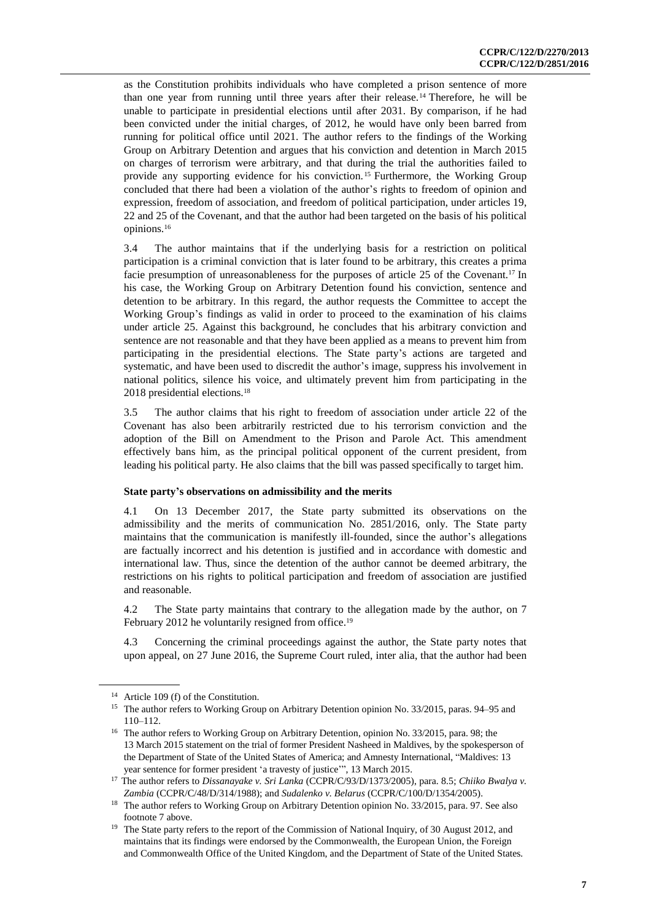as the Constitution prohibits individuals who have completed a prison sentence of more than one year from running until three years after their release.<sup>14</sup> Therefore, he will be unable to participate in presidential elections until after 2031. By comparison, if he had been convicted under the initial charges, of 2012, he would have only been barred from running for political office until 2021. The author refers to the findings of the Working Group on Arbitrary Detention and argues that his conviction and detention in March 2015 on charges of terrorism were arbitrary, and that during the trial the authorities failed to provide any supporting evidence for his conviction. <sup>15</sup> Furthermore, the Working Group concluded that there had been a violation of the author's rights to freedom of opinion and expression, freedom of association, and freedom of political participation, under articles 19, 22 and 25 of the Covenant, and that the author had been targeted on the basis of his political opinions.<sup>16</sup>

3.4 The author maintains that if the underlying basis for a restriction on political participation is a criminal conviction that is later found to be arbitrary, this creates a prima facie presumption of unreasonableness for the purposes of article 25 of the Covenant.<sup>17</sup> In his case, the Working Group on Arbitrary Detention found his conviction, sentence and detention to be arbitrary. In this regard, the author requests the Committee to accept the Working Group's findings as valid in order to proceed to the examination of his claims under article 25. Against this background, he concludes that his arbitrary conviction and sentence are not reasonable and that they have been applied as a means to prevent him from participating in the presidential elections. The State party's actions are targeted and systematic, and have been used to discredit the author's image, suppress his involvement in national politics, silence his voice, and ultimately prevent him from participating in the 2018 presidential elections.<sup>18</sup>

3.5 The author claims that his right to freedom of association under article 22 of the Covenant has also been arbitrarily restricted due to his terrorism conviction and the adoption of the Bill on Amendment to the Prison and Parole Act. This amendment effectively bans him, as the principal political opponent of the current president, from leading his political party. He also claims that the bill was passed specifically to target him.

#### **State party's observations on admissibility and the merits**

4.1 On 13 December 2017, the State party submitted its observations on the admissibility and the merits of communication No. 2851/2016, only. The State party maintains that the communication is manifestly ill-founded, since the author's allegations are factually incorrect and his detention is justified and in accordance with domestic and international law. Thus, since the detention of the author cannot be deemed arbitrary, the restrictions on his rights to political participation and freedom of association are justified and reasonable.

4.2 The State party maintains that contrary to the allegation made by the author, on 7 February 2012 he voluntarily resigned from office.<sup>19</sup>

4.3 Concerning the criminal proceedings against the author, the State party notes that upon appeal, on 27 June 2016, the Supreme Court ruled, inter alia, that the author had been

<sup>&</sup>lt;sup>14</sup> Article 109 (f) of the Constitution.

<sup>&</sup>lt;sup>15</sup> The author refers to Working Group on Arbitrary Detention opinion No. 33/2015, paras. 94–95 and 110–112.

<sup>&</sup>lt;sup>16</sup> The author refers to Working Group on Arbitrary Detention, opinion No. 33/2015, para. 98; the 13 March 2015 statement on the trial of former President Nasheed in Maldives, by the spokesperson of the Department of State of the United States of America; and Amnesty International, "Maldives: 13 year sentence for former president 'a travesty of justice'", 13 March 2015.

<sup>17</sup> The author refers to *Dissanayake v. Sri Lanka* (CCPR/C/93/D/1373/2005), para. 8.5; *Chiiko Bwalya v. Zambia* (CCPR/C/48/D/314/1988); and *Sudalenko v. Belarus* (CCPR/C/100/D/1354/2005).

<sup>&</sup>lt;sup>18</sup> The author refers to Working Group on Arbitrary Detention opinion No. 33/2015, para. 97. See also footnote 7 above.

<sup>&</sup>lt;sup>19</sup> The State party refers to the report of the Commission of National Inquiry, of 30 August 2012, and maintains that its findings were endorsed by the Commonwealth, the European Union, the Foreign and Commonwealth Office of the United Kingdom, and the Department of State of the United States.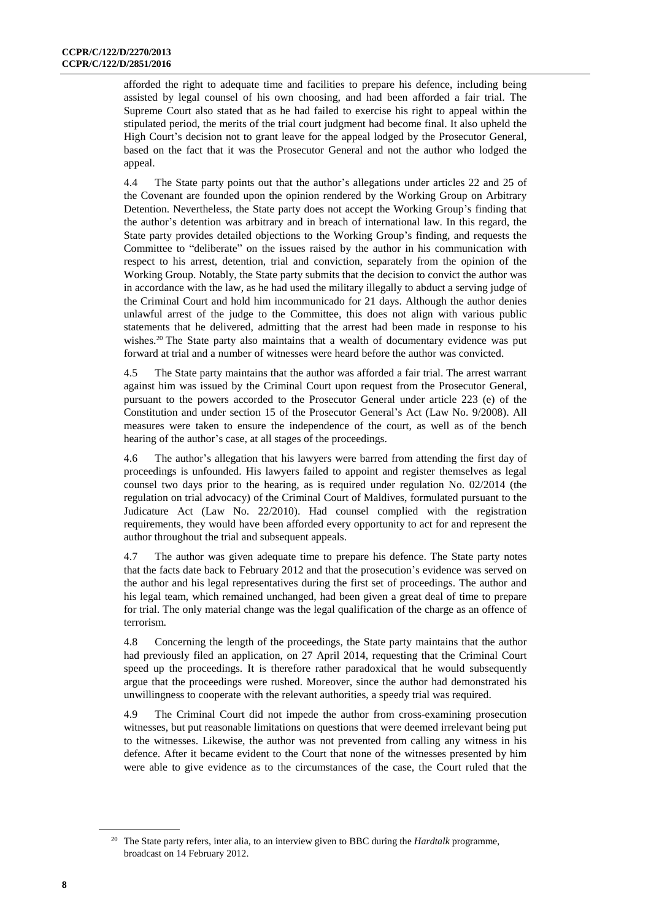afforded the right to adequate time and facilities to prepare his defence, including being assisted by legal counsel of his own choosing, and had been afforded a fair trial. The Supreme Court also stated that as he had failed to exercise his right to appeal within the stipulated period, the merits of the trial court judgment had become final. It also upheld the High Court's decision not to grant leave for the appeal lodged by the Prosecutor General, based on the fact that it was the Prosecutor General and not the author who lodged the appeal.

4.4 The State party points out that the author's allegations under articles 22 and 25 of the Covenant are founded upon the opinion rendered by the Working Group on Arbitrary Detention. Nevertheless, the State party does not accept the Working Group's finding that the author's detention was arbitrary and in breach of international law. In this regard, the State party provides detailed objections to the Working Group's finding, and requests the Committee to "deliberate" on the issues raised by the author in his communication with respect to his arrest, detention, trial and conviction, separately from the opinion of the Working Group. Notably, the State party submits that the decision to convict the author was in accordance with the law, as he had used the military illegally to abduct a serving judge of the Criminal Court and hold him incommunicado for 21 days. Although the author denies unlawful arrest of the judge to the Committee, this does not align with various public statements that he delivered, admitting that the arrest had been made in response to his wishes.<sup>20</sup> The State party also maintains that a wealth of documentary evidence was put forward at trial and a number of witnesses were heard before the author was convicted.

4.5 The State party maintains that the author was afforded a fair trial. The arrest warrant against him was issued by the Criminal Court upon request from the Prosecutor General, pursuant to the powers accorded to the Prosecutor General under article 223 (e) of the Constitution and under section 15 of the Prosecutor General's Act (Law No. 9/2008). All measures were taken to ensure the independence of the court, as well as of the bench hearing of the author's case, at all stages of the proceedings.

4.6 The author's allegation that his lawyers were barred from attending the first day of proceedings is unfounded. His lawyers failed to appoint and register themselves as legal counsel two days prior to the hearing, as is required under regulation No. 02/2014 (the regulation on trial advocacy) of the Criminal Court of Maldives, formulated pursuant to the Judicature Act (Law No. 22/2010). Had counsel complied with the registration requirements, they would have been afforded every opportunity to act for and represent the author throughout the trial and subsequent appeals.

4.7 The author was given adequate time to prepare his defence. The State party notes that the facts date back to February 2012 and that the prosecution's evidence was served on the author and his legal representatives during the first set of proceedings. The author and his legal team, which remained unchanged, had been given a great deal of time to prepare for trial. The only material change was the legal qualification of the charge as an offence of terrorism.

4.8 Concerning the length of the proceedings, the State party maintains that the author had previously filed an application, on 27 April 2014, requesting that the Criminal Court speed up the proceedings. It is therefore rather paradoxical that he would subsequently argue that the proceedings were rushed. Moreover, since the author had demonstrated his unwillingness to cooperate with the relevant authorities, a speedy trial was required.

4.9 The Criminal Court did not impede the author from cross-examining prosecution witnesses, but put reasonable limitations on questions that were deemed irrelevant being put to the witnesses. Likewise, the author was not prevented from calling any witness in his defence. After it became evident to the Court that none of the witnesses presented by him were able to give evidence as to the circumstances of the case, the Court ruled that the

<sup>20</sup> The State party refers, inter alia, to an interview given to BBC during the *Hardtalk* programme, broadcast on 14 February 2012.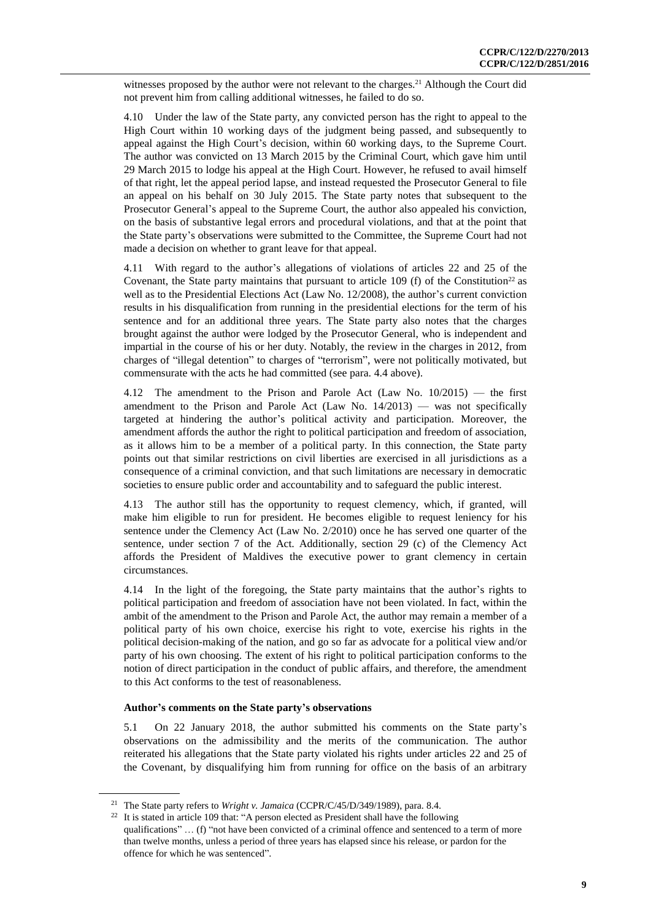witnesses proposed by the author were not relevant to the charges.<sup>21</sup> Although the Court did not prevent him from calling additional witnesses, he failed to do so.

4.10 Under the law of the State party, any convicted person has the right to appeal to the High Court within 10 working days of the judgment being passed, and subsequently to appeal against the High Court's decision, within 60 working days, to the Supreme Court. The author was convicted on 13 March 2015 by the Criminal Court, which gave him until 29 March 2015 to lodge his appeal at the High Court. However, he refused to avail himself of that right, let the appeal period lapse, and instead requested the Prosecutor General to file an appeal on his behalf on 30 July 2015. The State party notes that subsequent to the Prosecutor General's appeal to the Supreme Court, the author also appealed his conviction, on the basis of substantive legal errors and procedural violations, and that at the point that the State party's observations were submitted to the Committee, the Supreme Court had not made a decision on whether to grant leave for that appeal.

4.11 With regard to the author's allegations of violations of articles 22 and 25 of the Covenant, the State party maintains that pursuant to article 109 (f) of the Constitution<sup>22</sup> as well as to the Presidential Elections Act (Law No. 12/2008), the author's current conviction results in his disqualification from running in the presidential elections for the term of his sentence and for an additional three years. The State party also notes that the charges brought against the author were lodged by the Prosecutor General, who is independent and impartial in the course of his or her duty. Notably, the review in the charges in 2012, from charges of "illegal detention" to charges of "terrorism", were not politically motivated, but commensurate with the acts he had committed (see para. 4.4 above).

4.12 The amendment to the Prison and Parole Act (Law No. 10/2015) — the first amendment to the Prison and Parole Act (Law No.  $14/2013$ ) — was not specifically targeted at hindering the author's political activity and participation. Moreover, the amendment affords the author the right to political participation and freedom of association, as it allows him to be a member of a political party. In this connection, the State party points out that similar restrictions on civil liberties are exercised in all jurisdictions as a consequence of a criminal conviction, and that such limitations are necessary in democratic societies to ensure public order and accountability and to safeguard the public interest.

4.13 The author still has the opportunity to request clemency, which, if granted, will make him eligible to run for president. He becomes eligible to request leniency for his sentence under the Clemency Act (Law No. 2/2010) once he has served one quarter of the sentence, under section 7 of the Act. Additionally, section 29 (c) of the Clemency Act affords the President of Maldives the executive power to grant clemency in certain circumstances.

4.14 In the light of the foregoing, the State party maintains that the author's rights to political participation and freedom of association have not been violated. In fact, within the ambit of the amendment to the Prison and Parole Act, the author may remain a member of a political party of his own choice, exercise his right to vote, exercise his rights in the political decision-making of the nation, and go so far as advocate for a political view and/or party of his own choosing. The extent of his right to political participation conforms to the notion of direct participation in the conduct of public affairs, and therefore, the amendment to this Act conforms to the test of reasonableness.

#### **Author's comments on the State party's observations**

5.1 On 22 January 2018, the author submitted his comments on the State party's observations on the admissibility and the merits of the communication. The author reiterated his allegations that the State party violated his rights under articles 22 and 25 of the Covenant, by disqualifying him from running for office on the basis of an arbitrary

<sup>21</sup> The State party refers to *Wright v. Jamaica* (CCPR/C/45/D/349/1989), para. 8.4.

 $22$  It is stated in article 109 that: "A person elected as President shall have the following qualifications" ... (f) "not have been convicted of a criminal offence and sentenced to a term of more than twelve months, unless a period of three years has elapsed since his release, or pardon for the offence for which he was sentenced".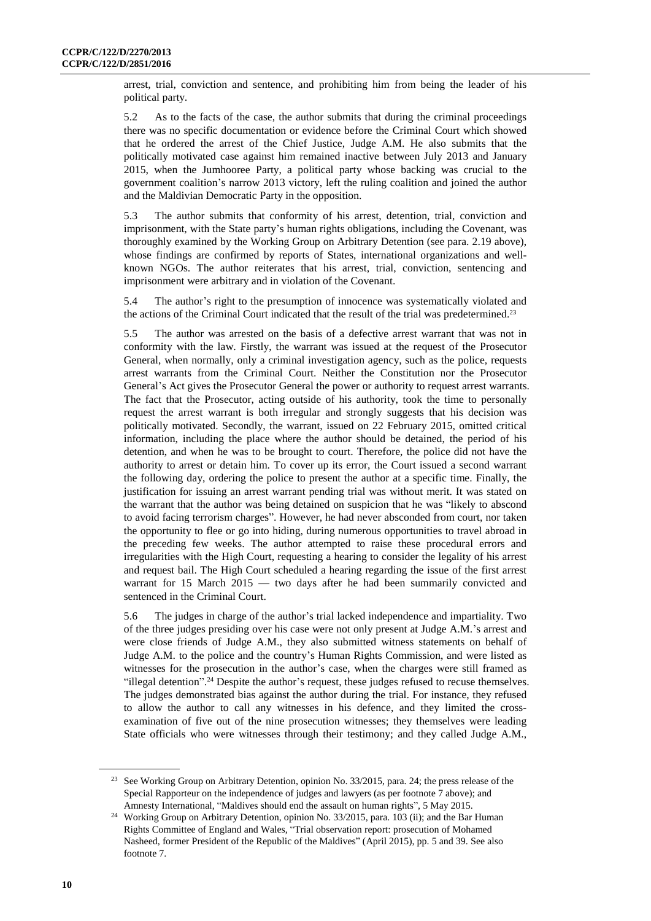arrest, trial, conviction and sentence, and prohibiting him from being the leader of his political party.

5.2 As to the facts of the case, the author submits that during the criminal proceedings there was no specific documentation or evidence before the Criminal Court which showed that he ordered the arrest of the Chief Justice, Judge A.M. He also submits that the politically motivated case against him remained inactive between July 2013 and January 2015, when the Jumhooree Party, a political party whose backing was crucial to the government coalition's narrow 2013 victory, left the ruling coalition and joined the author and the Maldivian Democratic Party in the opposition.

5.3 The author submits that conformity of his arrest, detention, trial, conviction and imprisonment, with the State party's human rights obligations, including the Covenant, was thoroughly examined by the Working Group on Arbitrary Detention (see para. 2.19 above), whose findings are confirmed by reports of States, international organizations and wellknown NGOs. The author reiterates that his arrest, trial, conviction, sentencing and imprisonment were arbitrary and in violation of the Covenant.

5.4 The author's right to the presumption of innocence was systematically violated and the actions of the Criminal Court indicated that the result of the trial was predetermined.<sup>23</sup>

5.5 The author was arrested on the basis of a defective arrest warrant that was not in conformity with the law. Firstly, the warrant was issued at the request of the Prosecutor General, when normally, only a criminal investigation agency, such as the police, requests arrest warrants from the Criminal Court. Neither the Constitution nor the Prosecutor General's Act gives the Prosecutor General the power or authority to request arrest warrants. The fact that the Prosecutor, acting outside of his authority, took the time to personally request the arrest warrant is both irregular and strongly suggests that his decision was politically motivated. Secondly, the warrant, issued on 22 February 2015, omitted critical information, including the place where the author should be detained, the period of his detention, and when he was to be brought to court. Therefore, the police did not have the authority to arrest or detain him. To cover up its error, the Court issued a second warrant the following day, ordering the police to present the author at a specific time. Finally, the justification for issuing an arrest warrant pending trial was without merit. It was stated on the warrant that the author was being detained on suspicion that he was "likely to abscond to avoid facing terrorism charges". However, he had never absconded from court, nor taken the opportunity to flee or go into hiding, during numerous opportunities to travel abroad in the preceding few weeks. The author attempted to raise these procedural errors and irregularities with the High Court, requesting a hearing to consider the legality of his arrest and request bail. The High Court scheduled a hearing regarding the issue of the first arrest warrant for 15 March 2015 — two days after he had been summarily convicted and sentenced in the Criminal Court.

5.6 The judges in charge of the author's trial lacked independence and impartiality. Two of the three judges presiding over his case were not only present at Judge A.M.'s arrest and were close friends of Judge A.M., they also submitted witness statements on behalf of Judge A.M. to the police and the country's Human Rights Commission, and were listed as witnesses for the prosecution in the author's case, when the charges were still framed as "illegal detention". <sup>24</sup> Despite the author's request, these judges refused to recuse themselves. The judges demonstrated bias against the author during the trial. For instance, they refused to allow the author to call any witnesses in his defence, and they limited the crossexamination of five out of the nine prosecution witnesses; they themselves were leading State officials who were witnesses through their testimony; and they called Judge A.M.,

<sup>&</sup>lt;sup>23</sup> See Working Group on Arbitrary Detention, opinion No. 33/2015, para. 24; the press release of the Special Rapporteur on the independence of judges and lawyers (as per footnote 7 above); and Amnesty International, "Maldives should end the assault on human rights", 5 May 2015.

<sup>&</sup>lt;sup>24</sup> Working Group on Arbitrary Detention, opinion No. 33/2015, para. 103 (ii); and the Bar Human Rights Committee of England and Wales, "Trial observation report: prosecution of Mohamed Nasheed, former President of the Republic of the Maldives" (April 2015), pp. 5 and 39. See also footnote 7.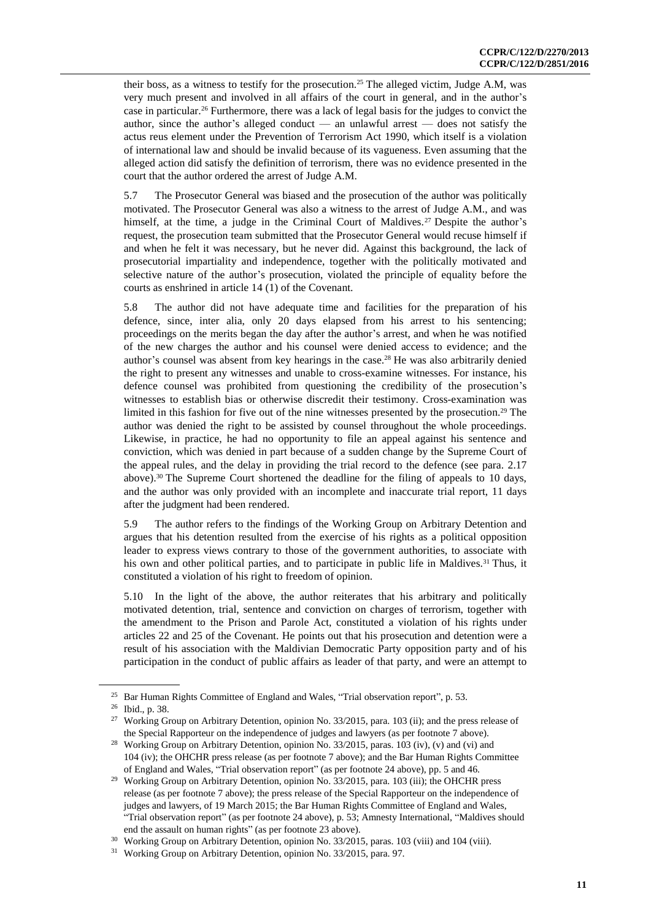their boss, as a witness to testify for the prosecution.<sup>25</sup> The alleged victim, Judge A.M, was very much present and involved in all affairs of the court in general, and in the author's case in particular.<sup>26</sup> Furthermore, there was a lack of legal basis for the judges to convict the author, since the author's alleged conduct — an unlawful arrest — does not satisfy the actus reus element under the Prevention of Terrorism Act 1990, which itself is a violation of international law and should be invalid because of its vagueness. Even assuming that the alleged action did satisfy the definition of terrorism, there was no evidence presented in the court that the author ordered the arrest of Judge A.M.

5.7 The Prosecutor General was biased and the prosecution of the author was politically motivated. The Prosecutor General was also a witness to the arrest of Judge A.M., and was himself, at the time, a judge in the Criminal Court of Maldives.<sup>27</sup> Despite the author's request, the prosecution team submitted that the Prosecutor General would recuse himself if and when he felt it was necessary, but he never did. Against this background, the lack of prosecutorial impartiality and independence, together with the politically motivated and selective nature of the author's prosecution, violated the principle of equality before the courts as enshrined in article 14 (1) of the Covenant.

5.8 The author did not have adequate time and facilities for the preparation of his defence, since, inter alia, only 20 days elapsed from his arrest to his sentencing; proceedings on the merits began the day after the author's arrest, and when he was notified of the new charges the author and his counsel were denied access to evidence; and the author's counsel was absent from key hearings in the case.<sup>28</sup> He was also arbitrarily denied the right to present any witnesses and unable to cross-examine witnesses. For instance, his defence counsel was prohibited from questioning the credibility of the prosecution's witnesses to establish bias or otherwise discredit their testimony. Cross-examination was limited in this fashion for five out of the nine witnesses presented by the prosecution.<sup>29</sup> The author was denied the right to be assisted by counsel throughout the whole proceedings. Likewise, in practice, he had no opportunity to file an appeal against his sentence and conviction, which was denied in part because of a sudden change by the Supreme Court of the appeal rules, and the delay in providing the trial record to the defence (see para. 2.17 above).<sup>30</sup> The Supreme Court shortened the deadline for the filing of appeals to 10 days, and the author was only provided with an incomplete and inaccurate trial report, 11 days after the judgment had been rendered.

5.9 The author refers to the findings of the Working Group on Arbitrary Detention and argues that his detention resulted from the exercise of his rights as a political opposition leader to express views contrary to those of the government authorities, to associate with his own and other political parties, and to participate in public life in Maldives.<sup>31</sup> Thus, it constituted a violation of his right to freedom of opinion.

5.10 In the light of the above, the author reiterates that his arbitrary and politically motivated detention, trial, sentence and conviction on charges of terrorism, together with the amendment to the Prison and Parole Act, constituted a violation of his rights under articles 22 and 25 of the Covenant. He points out that his prosecution and detention were a result of his association with the Maldivian Democratic Party opposition party and of his participation in the conduct of public affairs as leader of that party, and were an attempt to

<sup>&</sup>lt;sup>25</sup> Bar Human Rights Committee of England and Wales, "Trial observation report", p. 53.

<sup>26</sup> Ibid., p. 38.

<sup>&</sup>lt;sup>27</sup> Working Group on Arbitrary Detention, opinion No. 33/2015, para. 103 (ii); and the press release of the Special Rapporteur on the independence of judges and lawyers (as per footnote 7 above).

<sup>&</sup>lt;sup>28</sup> Working Group on Arbitrary Detention, opinion No. 33/2015, paras. 103 (iv), (v) and (vi) and 104 (iv); the OHCHR press release (as per footnote 7 above); and the Bar Human Rights Committee of England and Wales, "Trial observation report" (as per footnote 24 above), pp. 5 and 46.

<sup>&</sup>lt;sup>29</sup> Working Group on Arbitrary Detention, opinion No. 33/2015, para. 103 (iii); the OHCHR press release (as per footnote 7 above); the press release of the Special Rapporteur on the independence of judges and lawyers, of 19 March 2015; the Bar Human Rights Committee of England and Wales, "Trial observation report" (as per footnote 24 above), p. 53; Amnesty International, "Maldives should end the assault on human rights" (as per footnote 23 above).

<sup>&</sup>lt;sup>30</sup> Working Group on Arbitrary Detention, opinion No. 33/2015, paras. 103 (viii) and 104 (viii).

<sup>&</sup>lt;sup>31</sup> Working Group on Arbitrary Detention, opinion No. 33/2015, para. 97.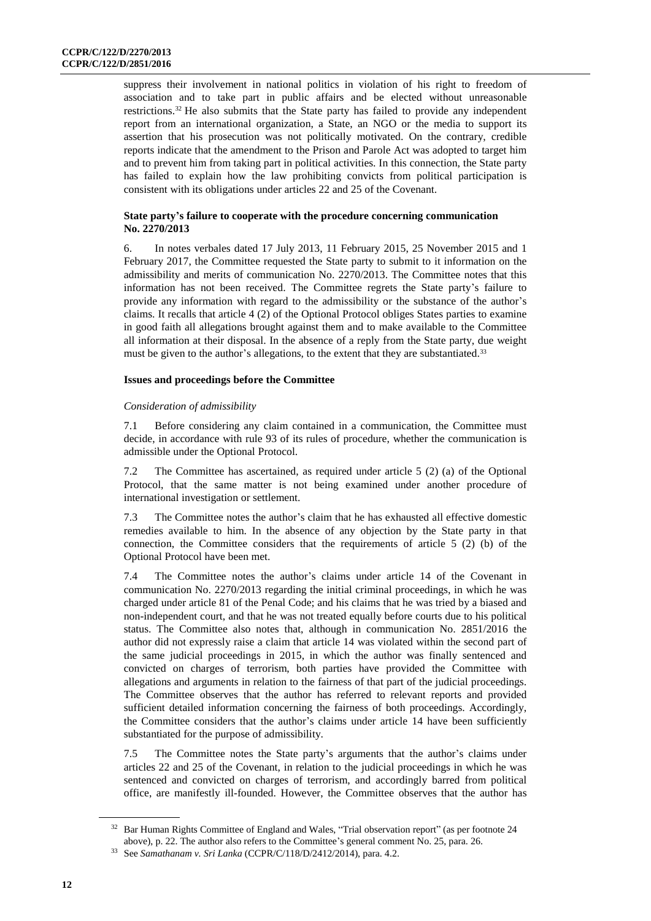suppress their involvement in national politics in violation of his right to freedom of association and to take part in public affairs and be elected without unreasonable restrictions.<sup>32</sup> He also submits that the State party has failed to provide any independent report from an international organization, a State, an NGO or the media to support its assertion that his prosecution was not politically motivated. On the contrary, credible reports indicate that the amendment to the Prison and Parole Act was adopted to target him and to prevent him from taking part in political activities. In this connection, the State party has failed to explain how the law prohibiting convicts from political participation is consistent with its obligations under articles 22 and 25 of the Covenant.

# **State party's failure to cooperate with the procedure concerning communication No. 2270/2013**

6. In notes verbales dated 17 July 2013, 11 February 2015, 25 November 2015 and 1 February 2017, the Committee requested the State party to submit to it information on the admissibility and merits of communication No. 2270/2013. The Committee notes that this information has not been received. The Committee regrets the State party's failure to provide any information with regard to the admissibility or the substance of the author's claims. It recalls that article 4 (2) of the Optional Protocol obliges States parties to examine in good faith all allegations brought against them and to make available to the Committee all information at their disposal. In the absence of a reply from the State party, due weight must be given to the author's allegations, to the extent that they are substantiated.<sup>33</sup>

# **Issues and proceedings before the Committee**

# *Consideration of admissibility*

7.1 Before considering any claim contained in a communication, the Committee must decide, in accordance with rule 93 of its rules of procedure, whether the communication is admissible under the Optional Protocol.

7.2 The Committee has ascertained, as required under article 5 (2) (a) of the Optional Protocol, that the same matter is not being examined under another procedure of international investigation or settlement.

7.3 The Committee notes the author's claim that he has exhausted all effective domestic remedies available to him. In the absence of any objection by the State party in that connection, the Committee considers that the requirements of article 5 (2) (b) of the Optional Protocol have been met.

7.4 The Committee notes the author's claims under article 14 of the Covenant in communication No. 2270/2013 regarding the initial criminal proceedings, in which he was charged under article 81 of the Penal Code; and his claims that he was tried by a biased and non-independent court, and that he was not treated equally before courts due to his political status. The Committee also notes that, although in communication No. 2851/2016 the author did not expressly raise a claim that article 14 was violated within the second part of the same judicial proceedings in 2015, in which the author was finally sentenced and convicted on charges of terrorism, both parties have provided the Committee with allegations and arguments in relation to the fairness of that part of the judicial proceedings. The Committee observes that the author has referred to relevant reports and provided sufficient detailed information concerning the fairness of both proceedings. Accordingly, the Committee considers that the author's claims under article 14 have been sufficiently substantiated for the purpose of admissibility.

7.5 The Committee notes the State party's arguments that the author's claims under articles 22 and 25 of the Covenant, in relation to the judicial proceedings in which he was sentenced and convicted on charges of terrorism, and accordingly barred from political office, are manifestly ill-founded. However, the Committee observes that the author has

<sup>&</sup>lt;sup>32</sup> Bar Human Rights Committee of England and Wales, "Trial observation report" (as per footnote 24 above), p. 22. The author also refers to the Committee's general comment No. 25, para. 26.

<sup>33</sup> See *Samathanam v. Sri Lanka* (CCPR/C/118/D/2412/2014), para. 4.2.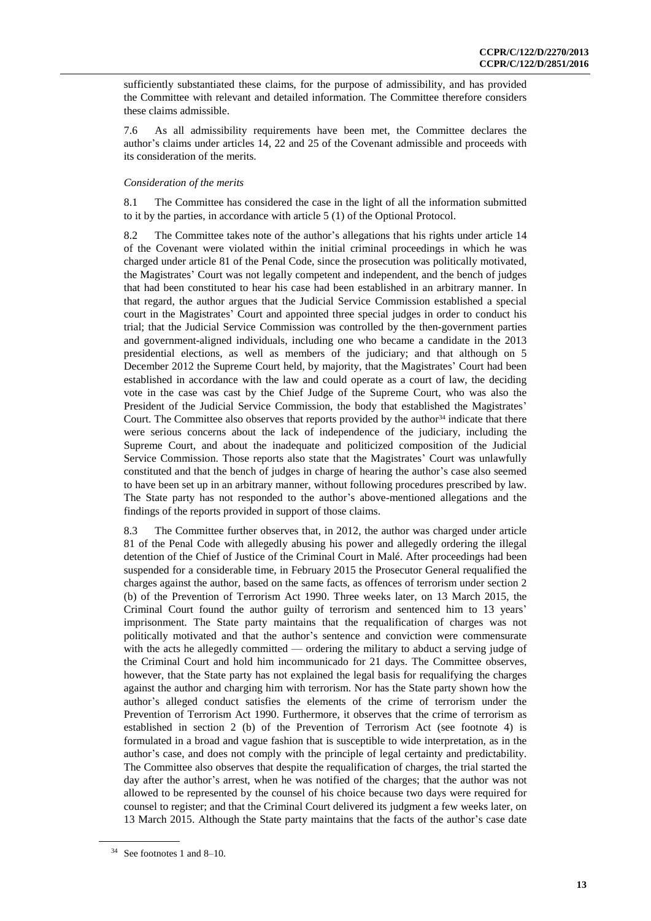sufficiently substantiated these claims, for the purpose of admissibility, and has provided the Committee with relevant and detailed information. The Committee therefore considers these claims admissible.

7.6 As all admissibility requirements have been met, the Committee declares the author's claims under articles 14, 22 and 25 of the Covenant admissible and proceeds with its consideration of the merits.

### *Consideration of the merits*

8.1 The Committee has considered the case in the light of all the information submitted to it by the parties, in accordance with article 5 (1) of the Optional Protocol.

8.2 The Committee takes note of the author's allegations that his rights under article 14 of the Covenant were violated within the initial criminal proceedings in which he was charged under article 81 of the Penal Code, since the prosecution was politically motivated, the Magistrates' Court was not legally competent and independent, and the bench of judges that had been constituted to hear his case had been established in an arbitrary manner. In that regard, the author argues that the Judicial Service Commission established a special court in the Magistrates' Court and appointed three special judges in order to conduct his trial; that the Judicial Service Commission was controlled by the then-government parties and government-aligned individuals, including one who became a candidate in the 2013 presidential elections, as well as members of the judiciary; and that although on 5 December 2012 the Supreme Court held, by majority, that the Magistrates' Court had been established in accordance with the law and could operate as a court of law, the deciding vote in the case was cast by the Chief Judge of the Supreme Court, who was also the President of the Judicial Service Commission, the body that established the Magistrates' Court. The Committee also observes that reports provided by the author $34$  indicate that there were serious concerns about the lack of independence of the judiciary, including the Supreme Court, and about the inadequate and politicized composition of the Judicial Service Commission. Those reports also state that the Magistrates' Court was unlawfully constituted and that the bench of judges in charge of hearing the author's case also seemed to have been set up in an arbitrary manner, without following procedures prescribed by law. The State party has not responded to the author's above-mentioned allegations and the findings of the reports provided in support of those claims.

8.3 The Committee further observes that, in 2012, the author was charged under article 81 of the Penal Code with allegedly abusing his power and allegedly ordering the illegal detention of the Chief of Justice of the Criminal Court in Malé. After proceedings had been suspended for a considerable time, in February 2015 the Prosecutor General requalified the charges against the author, based on the same facts, as offences of terrorism under section 2 (b) of the Prevention of Terrorism Act 1990. Three weeks later, on 13 March 2015, the Criminal Court found the author guilty of terrorism and sentenced him to 13 years' imprisonment. The State party maintains that the requalification of charges was not politically motivated and that the author's sentence and conviction were commensurate with the acts he allegedly committed — ordering the military to abduct a serving judge of the Criminal Court and hold him incommunicado for 21 days. The Committee observes, however, that the State party has not explained the legal basis for requalifying the charges against the author and charging him with terrorism. Nor has the State party shown how the author's alleged conduct satisfies the elements of the crime of terrorism under the Prevention of Terrorism Act 1990. Furthermore, it observes that the crime of terrorism as established in section 2 (b) of the Prevention of Terrorism Act (see footnote 4) is formulated in a broad and vague fashion that is susceptible to wide interpretation, as in the author's case, and does not comply with the principle of legal certainty and predictability. The Committee also observes that despite the requalification of charges, the trial started the day after the author's arrest, when he was notified of the charges; that the author was not allowed to be represented by the counsel of his choice because two days were required for counsel to register; and that the Criminal Court delivered its judgment a few weeks later, on 13 March 2015. Although the State party maintains that the facts of the author's case date

<sup>34</sup> See footnotes 1 and 8–10.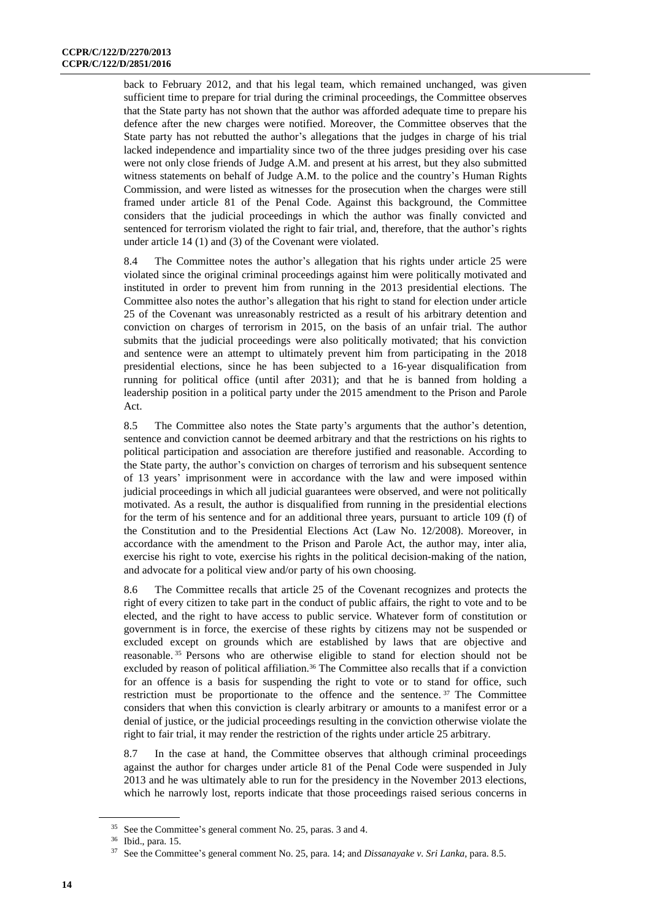back to February 2012, and that his legal team, which remained unchanged, was given sufficient time to prepare for trial during the criminal proceedings, the Committee observes that the State party has not shown that the author was afforded adequate time to prepare his defence after the new charges were notified. Moreover, the Committee observes that the State party has not rebutted the author's allegations that the judges in charge of his trial lacked independence and impartiality since two of the three judges presiding over his case were not only close friends of Judge A.M. and present at his arrest, but they also submitted witness statements on behalf of Judge A.M. to the police and the country's Human Rights Commission, and were listed as witnesses for the prosecution when the charges were still framed under article 81 of the Penal Code. Against this background, the Committee considers that the judicial proceedings in which the author was finally convicted and sentenced for terrorism violated the right to fair trial, and, therefore, that the author's rights under article 14 (1) and (3) of the Covenant were violated.

8.4 The Committee notes the author's allegation that his rights under article 25 were violated since the original criminal proceedings against him were politically motivated and instituted in order to prevent him from running in the 2013 presidential elections. The Committee also notes the author's allegation that his right to stand for election under article 25 of the Covenant was unreasonably restricted as a result of his arbitrary detention and conviction on charges of terrorism in 2015, on the basis of an unfair trial. The author submits that the judicial proceedings were also politically motivated; that his conviction and sentence were an attempt to ultimately prevent him from participating in the 2018 presidential elections, since he has been subjected to a 16-year disqualification from running for political office (until after 2031); and that he is banned from holding a leadership position in a political party under the 2015 amendment to the Prison and Parole Act.

8.5 The Committee also notes the State party's arguments that the author's detention, sentence and conviction cannot be deemed arbitrary and that the restrictions on his rights to political participation and association are therefore justified and reasonable. According to the State party, the author's conviction on charges of terrorism and his subsequent sentence of 13 years' imprisonment were in accordance with the law and were imposed within judicial proceedings in which all judicial guarantees were observed, and were not politically motivated. As a result, the author is disqualified from running in the presidential elections for the term of his sentence and for an additional three years, pursuant to article 109 (f) of the Constitution and to the Presidential Elections Act (Law No. 12/2008). Moreover, in accordance with the amendment to the Prison and Parole Act, the author may, inter alia, exercise his right to vote, exercise his rights in the political decision-making of the nation, and advocate for a political view and/or party of his own choosing.

8.6 The Committee recalls that article 25 of the Covenant recognizes and protects the right of every citizen to take part in the conduct of public affairs, the right to vote and to be elected, and the right to have access to public service. Whatever form of constitution or government is in force, the exercise of these rights by citizens may not be suspended or excluded except on grounds which are established by laws that are objective and reasonable. <sup>35</sup> Persons who are otherwise eligible to stand for election should not be excluded by reason of political affiliation.<sup>36</sup> The Committee also recalls that if a conviction for an offence is a basis for suspending the right to vote or to stand for office, such restriction must be proportionate to the offence and the sentence. <sup>37</sup> The Committee considers that when this conviction is clearly arbitrary or amounts to a manifest error or a denial of justice, or the judicial proceedings resulting in the conviction otherwise violate the right to fair trial, it may render the restriction of the rights under article 25 arbitrary.

8.7 In the case at hand, the Committee observes that although criminal proceedings against the author for charges under article 81 of the Penal Code were suspended in July 2013 and he was ultimately able to run for the presidency in the November 2013 elections, which he narrowly lost, reports indicate that those proceedings raised serious concerns in

<sup>35</sup> See the Committee's general comment No. 25, paras. 3 and 4.

<sup>36</sup> Ibid., para. 15.

<sup>37</sup> See the Committee's general comment No. 25, para. 14; and *Dissanayake v. Sri Lanka*, para. 8.5.